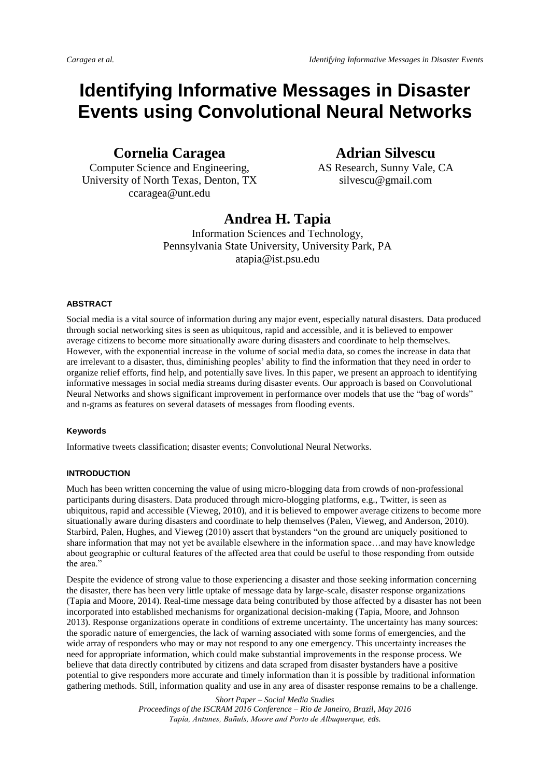# **Identifying Informative Messages in Disaster Events using Convolutional Neural Networks**

**Cornelia Caragea**

Computer Science and Engineering, University of North Texas, Denton, TX ccaragea@unt.edu

**Adrian Silvescu**

AS Research, Sunny Vale, CA silvescu@gmail.com

## **Andrea H. Tapia**

Information Sciences and Technology, Pennsylvania State University, University Park, PA atapia@ist.psu.edu

#### **ABSTRACT**

Social media is a vital source of information during any major event, especially natural disasters. Data produced through social networking sites is seen as ubiquitous, rapid and accessible, and it is believed to empower average citizens to become more situationally aware during disasters and coordinate to help themselves. However, with the exponential increase in the volume of social media data, so comes the increase in data that are irrelevant to a disaster, thus, diminishing peoples' ability to find the information that they need in order to organize relief efforts, find help, and potentially save lives. In this paper, we present an approach to identifying informative messages in social media streams during disaster events. Our approach is based on Convolutional Neural Networks and shows significant improvement in performance over models that use the "bag of words" and n-grams as features on several datasets of messages from flooding events.

#### **Keywords**

Informative tweets classification; disaster events; Convolutional Neural Networks.

#### **INTRODUCTION**

Much has been written concerning the value of using micro-blogging data from crowds of non-professional participants during disasters. Data produced through micro-blogging platforms, e.g., Twitter, is seen as ubiquitous, rapid and accessible (Vieweg, 2010), and it is believed to empower average citizens to become more situationally aware during disasters and coordinate to help themselves (Palen, Vieweg, and Anderson, 2010). Starbird, Palen, Hughes, and Vieweg (2010) assert that bystanders "on the ground are uniquely positioned to share information that may not yet be available elsewhere in the information space…and may have knowledge about geographic or cultural features of the affected area that could be useful to those responding from outside the area."

Despite the evidence of strong value to those experiencing a disaster and those seeking information concerning the disaster, there has been very little uptake of message data by large-scale, disaster response organizations (Tapia and Moore, 2014). Real-time message data being contributed by those affected by a disaster has not been incorporated into established mechanisms for organizational decision-making (Tapia, Moore, and Johnson 2013). Response organizations operate in conditions of extreme uncertainty. The uncertainty has many sources: the sporadic nature of emergencies, the lack of warning associated with some forms of emergencies, and the wide array of responders who may or may not respond to any one emergency. This uncertainty increases the need for appropriate information, which could make substantial improvements in the response process. We believe that data directly contributed by citizens and data scraped from disaster bystanders have a positive potential to give responders more accurate and timely information than it is possible by traditional information gathering methods. Still, information quality and use in any area of disaster response remains to be a challenge.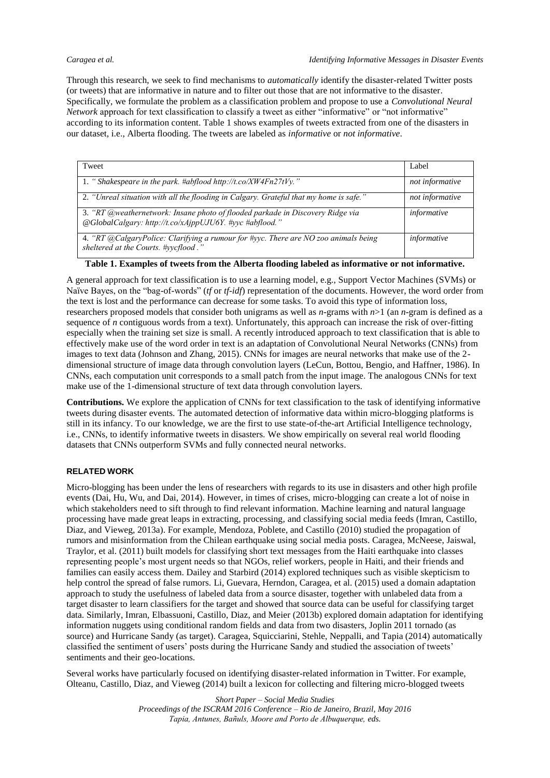Through this research, we seek to find mechanisms to *automatically* identify the disaster-related Twitter posts (or tweets) that are informative in nature and to filter out those that are not informative to the disaster. Specifically, we formulate the problem as a classification problem and propose to use a *Convolutional Neural Network* approach for text classification to classify a tweet as either "informative" or "not informative" according to its information content. Table 1 shows examples of tweets extracted from one of the disasters in our dataset, i.e., Alberta flooding. The tweets are labeled as *informative* or *not informative*.

| Tweet                                                                                                                                     | Label           |
|-------------------------------------------------------------------------------------------------------------------------------------------|-----------------|
| 1. "Shakespeare in the park. #abflood http://t.co/XW4Fn27tVy."                                                                            | not informative |
| 2. "Unreal situation with all the flooding in Calgary. Grateful that my home is safe."                                                    | not informative |
| 3. "RT @weathernetwork: Insane photo of flooded parkade in Discovery Ridge via<br>@GlobalCalgary: http://t.co/xAjppUJU6Y. #yyc #abflood." | informative     |
| 4. "RT @CalgaryPolice: Clarifying a rumour for #yyc. There are NO zoo animals being<br>sheltered at the Courts. #yycflood."               | informative     |

**Table 1. Examples of tweets from the Alberta flooding labeled as informative or not informative.**

A general approach for text classification is to use a learning model, e.g., Support Vector Machines (SVMs) or Naïve Bayes, on the "bag-of-words" (*tf* or *tf-idf*) representation of the documents. However, the word order from the text is lost and the performance can decrease for some tasks. To avoid this type of information loss, researchers proposed models that consider both unigrams as well as *n*-grams with *n*>1 (an *n*-gram is defined as a sequence of *n* contiguous words from a text). Unfortunately, this approach can increase the risk of over-fitting especially when the training set size is small. A recently introduced approach to text classification that is able to effectively make use of the word order in text is an adaptation of Convolutional Neural Networks (CNNs) from images to text data (Johnson and Zhang, 2015). CNNs for images are neural networks that make use of the 2 dimensional structure of image data through convolution layers (LeCun, Bottou, Bengio, and Haffner, 1986). In CNNs, each computation unit corresponds to a small patch from the input image. The analogous CNNs for text make use of the 1-dimensional structure of text data through convolution layers.

**Contributions.** We explore the application of CNNs for text classification to the task of identifying informative tweets during disaster events. The automated detection of informative data within micro-blogging platforms is still in its infancy. To our knowledge, we are the first to use state-of-the-art Artificial Intelligence technology, i.e., CNNs, to identify informative tweets in disasters. We show empirically on several real world flooding datasets that CNNs outperform SVMs and fully connected neural networks.

### **RELATED WORK**

Micro-blogging has been under the lens of researchers with regards to its use in disasters and other high profile events (Dai, Hu, Wu, and Dai, 2014). However, in times of crises, micro-blogging can create a lot of noise in which stakeholders need to sift through to find relevant information. Machine learning and natural language processing have made great leaps in extracting, processing, and classifying social media feeds (Imran, Castillo, Diaz, and Vieweg, 2013a). For example, Mendoza, Poblete, and Castillo (2010) studied the propagation of rumors and misinformation from the Chilean earthquake using social media posts. Caragea, McNeese, Jaiswal, Traylor, et al. (2011) built models for classifying short text messages from the Haiti earthquake into classes representing people's most urgent needs so that NGOs, relief workers, people in Haiti, and their friends and families can easily access them. Dailey and Starbird (2014) explored techniques such as visible skepticism to help control the spread of false rumors. Li, Guevara, Herndon, Caragea, et al. (2015) used a domain adaptation approach to study the usefulness of labeled data from a source disaster, together with unlabeled data from a target disaster to learn classifiers for the target and showed that source data can be useful for classifying target data. Similarly, Imran, Elbassuoni, Castillo, Diaz, and Meier (2013b) explored domain adaptation for identifying information nuggets using conditional random fields and data from two disasters, Joplin 2011 tornado (as source) and Hurricane Sandy (as target). Caragea, Squicciarini, Stehle, Neppalli, and Tapia (2014) automatically classified the sentiment of users' posts during the Hurricane Sandy and studied the association of tweets' sentiments and their geo-locations.

Several works have particularly focused on identifying disaster-related information in Twitter. For example, Olteanu, Castillo, Diaz, and Vieweg (2014) built a lexicon for collecting and filtering micro-blogged tweets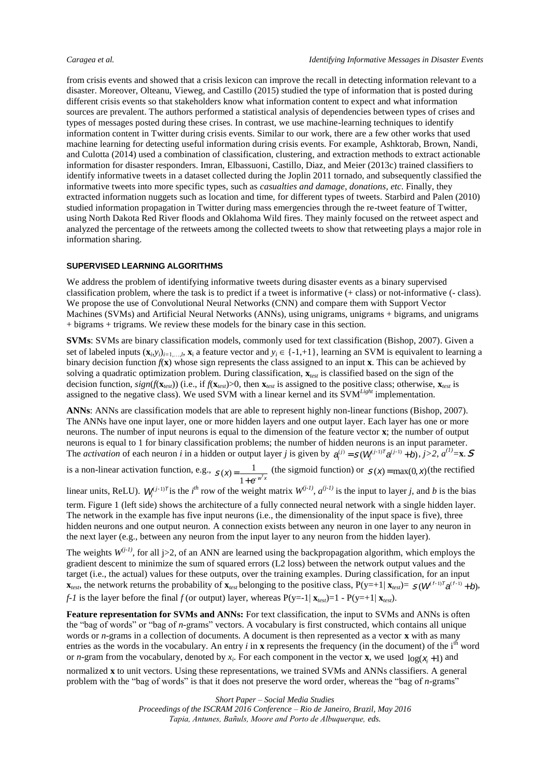from crisis events and showed that a crisis lexicon can improve the recall in detecting information relevant to a disaster. Moreover, Olteanu, Vieweg, and Castillo (2015) studied the type of information that is posted during different crisis events so that stakeholders know what information content to expect and what information sources are prevalent. The authors performed a statistical analysis of dependencies between types of crises and types of messages posted during these crises. In contrast, we use machine-learning techniques to identify information content in Twitter during crisis events. Similar to our work, there are a few other works that used machine learning for detecting useful information during crisis events. For example, Ashktorab, Brown, Nandi, and Culotta (2014) used a combination of classification, clustering, and extraction methods to extract actionable information for disaster responders. Imran, Elbassuoni, Castillo, Diaz, and Meier (2013c) trained classifiers to identify informative tweets in a dataset collected during the Joplin 2011 tornado, and subsequently classified the informative tweets into more specific types, such as *casualties and damage*, *donations, etc*. Finally, they extracted information nuggets such as location and time, for different types of tweets. Starbird and Palen (2010) studied information propagation in Twitter during mass emergencies through the re-tweet feature of Twitter, using North Dakota Red River floods and Oklahoma Wild fires. They mainly focused on the retweet aspect and analyzed the percentage of the retweets among the collected tweets to show that retweeting plays a major role in information sharing.

#### **SUPERVISED LEARNING ALGORITHMS**

We address the problem of identifying informative tweets during disaster events as a binary supervised classification problem, where the task is to predict if a tweet is informative (+ class) or not-informative (- class). We propose the use of Convolutional Neural Networks (CNN) and compare them with Support Vector Machines (SVMs) and Artificial Neural Networks (ANNs), using unigrams, unigrams + bigrams, and unigrams + bigrams + trigrams. We review these models for the binary case in this section.

**SVMs**: SVMs are binary classification models, commonly used for text classification (Bishop, 2007). Given a set of labeled inputs  $(\mathbf{x}_i, y_i)_{i=1,...,l}$ ,  $\mathbf{x}_i$  a feature vector and  $y_i \in \{-1,+1\}$ , learning an SVM is equivalent to learning a binary decision function  $f(x)$  whose sign represents the class assigned to an input **x**. This can be achieved by solving a quadratic optimization problem. During classification, **x***test* is classified based on the sign of the decision function,  $sign(f(\mathbf{x}_{test}))$  (i.e., if  $f(\mathbf{x}_{test})>0$ , then  $\mathbf{x}_{test}$  is assigned to the positive class; otherwise,  $\mathbf{x}_{test}$  is assigned to the negative class). We used SVM with a linear kernel and its SVM*Light* implementation.

**ANNs**: ANNs are classification models that are able to represent highly non-linear functions (Bishop, 2007). The ANNs have one input layer, one or more hidden layers and one output layer. Each layer has one or more neurons. The number of input neurons is equal to the dimension of the feature vector **x**; the number of output neurons is equal to 1 for binary classification problems; the number of hidden neurons is an input parameter. The *activation* of each neuron *i* in a hidden or output layer *j* is given by  $a_i^{(j)} = S(W_i^{(j-1)T}a^{(j-1)} + b_i, j > 2, a^{(1)} = x$ . S

is a non-linear activation function, e.g.,  $S(\mathbf{x}) = \frac{1}{\sqrt{2\pi}}$  $\frac{1}{1+e^{w^T x}}$  (the sigmoid function) or  $S(x) = \max(0, x)$  (the rectified

linear units, ReLU).  $W_i^{(j-1)T}$  is the *i*<sup>th</sup> row of the weight matrix  $W_i^{(j-1)}$ ,  $a_i^{(j-1)}$  is the input to layer *j*, and *b* is the bias term. Figure 1 (left side) shows the architecture of a fully connected neural network with a single hidden layer. The network in the example has five input neurons (i.e., the dimensionality of the input space is five), three hidden neurons and one output neuron. A connection exists between any neuron in one layer to any neuron in the next layer (e.g., between any neuron from the input layer to any neuron from the hidden layer).

The weights  $W^{(j-1)}$ , for all j>2, of an ANN are learned using the backpropagation algorithm, which employs the gradient descent to minimize the sum of squared errors (L2 loss) between the network output values and the target (i.e., the actual) values for these outputs, over the training examples. During classification, for an input **x**<sub>*test*</sub>, the network returns the probability of  $\mathbf{x}_{test}$  belonging to the positive class,  $P(y=+1|\mathbf{x}_{test})=S(W^{(f-1)T}a^{(f-1)}+b)$ , *f-1* is the layer before the final *f* (or output) layer, whereas  $P(y=1 | X_{test}) = 1 - P(y=+1 | X_{test})$ .

**Feature representation for SVMs and ANNs:** For text classification, the input to SVMs and ANNs is often the "bag of words" or "bag of *n*-grams" vectors. A vocabulary is first constructed, which contains all unique words or *n*-grams in a collection of documents. A document is then represented as a vector **x** with as many entries as the words in the vocabulary. An entry  $i$  in  $\bf{x}$  represents the frequency (in the document) of the i<sup>th</sup> word or *n*-gram from the vocabulary, denoted by  $x_i$ . For each component in the vector **x**, we used  $log(x_i + 1)$  and

normalized **x** to unit vectors. Using these representations, we trained SVMs and ANNs classifiers. A general problem with the "bag of words" is that it does not preserve the word order, whereas the "bag of *n*-grams"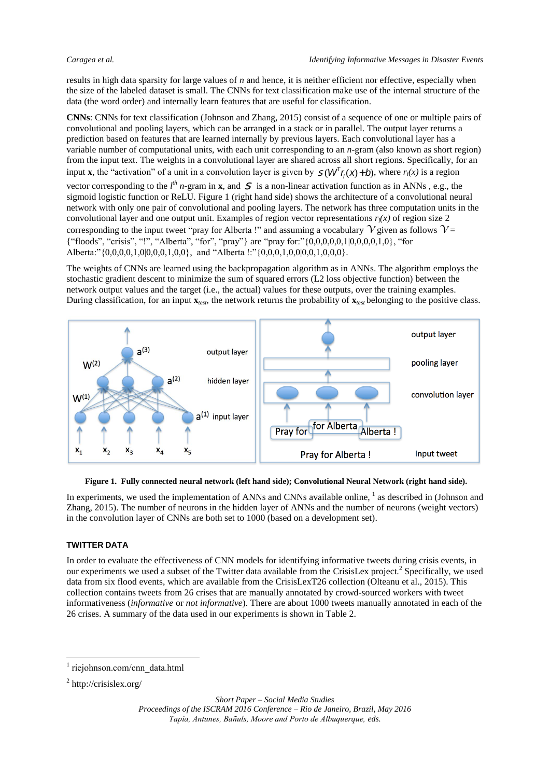results in high data sparsity for large values of *n* and hence, it is neither efficient nor effective, especially when the size of the labeled dataset is small. The CNNs for text classification make use of the internal structure of the data (the word order) and internally learn features that are useful for classification.

**CNNs**: CNNs for text classification (Johnson and Zhang, 2015) consist of a sequence of one or multiple pairs of convolutional and pooling layers, which can be arranged in a stack or in parallel. The output layer returns a prediction based on features that are learned internally by previous layers. Each convolutional layer has a variable number of computational units, with each unit corresponding to an *n*-gram (also known as short region) from the input text. The weights in a convolutional layer are shared across all short regions. Specifically, for an input **x**, the "activation" of a unit in a convolution layer is given by  $S(W<sup>T</sup> f(x) + b)$ , where  $r_1(x)$  is a region

vector corresponding to the  $l^h$  *n*-gram in **x**, and S is a non-linear activation function as in ANNs, e.g., the sigmoid logistic function or ReLU. Figure 1 (right hand side) shows the architecture of a convolutional neural network with only one pair of convolutional and pooling layers. The network has three computation units in the convolutional layer and one output unit. Examples of region vector representations  $r_l(x)$  of region size 2 corresponding to the input tweet "pray for Alberta !" and assuming a vocabulary  $\mathcal V$  given as follows  $\mathcal V =$ {"floods", "crisis", "!", "Alberta", "for", "pray"} are "pray for:"{0,0,0,0,0,1|0,0,0,0,1,0}, "for Alberta:" $\{0,0,0,0,1,0|0,0,0,1,0,0\}$ , and "Alberta !:" $\{0,0,0,1,0,0|0,0,1,0,0,0\}$ .

The weights of CNNs are learned using the backpropagation algorithm as in ANNs. The algorithm employs the stochastic gradient descent to minimize the sum of squared errors (L2 loss objective function) between the network output values and the target (i.e., the actual) values for these outputs, over the training examples. During classification, for an input  $\mathbf{x}_{\text{test}}$ , the network returns the probability of  $\mathbf{x}_{\text{test}}$  belonging to the positive class.



**Figure 1. Fully connected neural network (left hand side); Convolutional Neural Network (right hand side).**

In experiments, we used the implementation of ANNs and CNNs available online,  $\frac{1}{1}$  as described in (Johnson and Zhang, 2015). The number of neurons in the hidden layer of ANNs and the number of neurons (weight vectors) in the convolution layer of CNNs are both set to 1000 (based on a development set).

### **TWITTER DATA**

In order to evaluate the effectiveness of CNN models for identifying informative tweets during crisis events, in our experiments we used a subset of the Twitter data available from the CrisisLex project.<sup>2</sup> Specifically, we used data from six flood events, which are available from the CrisisLexT26 collection (Olteanu et al., 2015). This collection contains tweets from 26 crises that are manually annotated by crowd-sourced workers with tweet informativeness (*informative* or *not informative*). There are about 1000 tweets manually annotated in each of the 26 crises. A summary of the data used in our experiments is shown in Table 2.

-

<sup>&</sup>lt;sup>1</sup> riejohnson.com/cnn\_data.html

<sup>&</sup>lt;sup>2</sup> http://crisislex.org/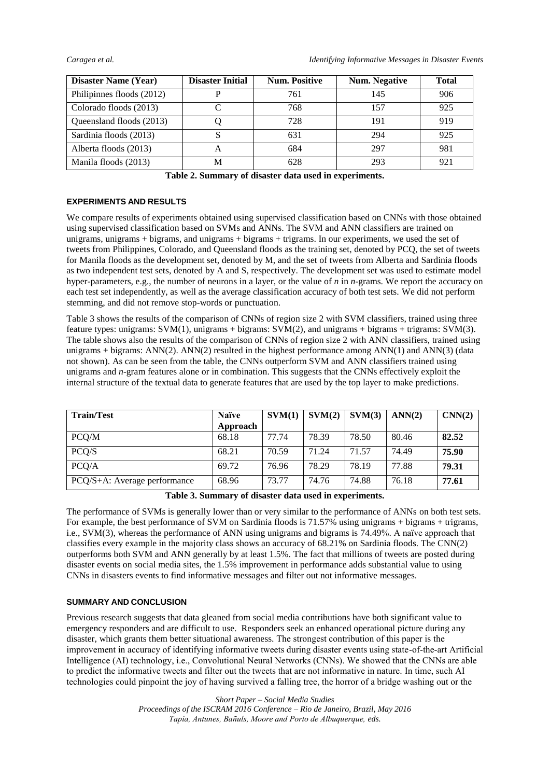| <b>Disaster Name (Year)</b> | <b>Disaster Initial</b> | <b>Num. Positive</b> | <b>Num.</b> Negative | <b>Total</b> |
|-----------------------------|-------------------------|----------------------|----------------------|--------------|
| Philipinnes floods (2012)   |                         | 761                  | 145                  | 906          |
| Colorado floods (2013)      |                         | 768                  | 157                  | 925          |
| Queensland floods (2013)    |                         | 728                  | 191                  | 919          |
| Sardinia floods (2013)      |                         | 631                  | 294                  | 925          |
| Alberta floods (2013)       |                         | 684                  | 297                  | 981          |
| Manila floods (2013)        | M                       | 628                  | 293                  | 921          |

|  |  |  |  |  |  |  |  | Table 2. Summary of disaster data used in experiments. |
|--|--|--|--|--|--|--|--|--------------------------------------------------------|
|--|--|--|--|--|--|--|--|--------------------------------------------------------|

#### **EXPERIMENTS AND RESULTS**

We compare results of experiments obtained using supervised classification based on CNNs with those obtained using supervised classification based on SVMs and ANNs. The SVM and ANN classifiers are trained on unigrams, unigrams + bigrams, and unigrams + bigrams + trigrams. In our experiments, we used the set of tweets from Philippines, Colorado, and Queensland floods as the training set, denoted by PCQ, the set of tweets for Manila floods as the development set, denoted by M, and the set of tweets from Alberta and Sardinia floods as two independent test sets, denoted by A and S, respectively. The development set was used to estimate model hyper-parameters, e.g., the number of neurons in a layer, or the value of *n* in *n*-grams. We report the accuracy on each test set independently, as well as the average classification accuracy of both test sets. We did not perform stemming, and did not remove stop-words or punctuation.

Table 3 shows the results of the comparison of CNNs of region size 2 with SVM classifiers, trained using three feature types: unigrams: SVM(1), unigrams + bigrams: SVM(2), and unigrams + bigrams + trigrams: SVM(3). The table shows also the results of the comparison of CNNs of region size 2 with ANN classifiers, trained using unigrams + bigrams:  $\text{ANN}(2)$ .  $\text{ANN}(2)$  resulted in the highest performance among  $\text{ANN}(1)$  and  $\text{ANN}(3)$  (data not shown). As can be seen from the table, the CNNs outperform SVM and ANN classifiers trained using unigrams and *n*-gram features alone or in combination. This suggests that the CNNs effectively exploit the internal structure of the textual data to generate features that are used by the top layer to make predictions.

| <b>Train/Test</b>            | <b>Naïve</b> | SVM(1) | SVM(2) | SVM(3) | ANN(2) | CNN(2) |
|------------------------------|--------------|--------|--------|--------|--------|--------|
|                              | Approach     |        |        |        |        |        |
| PCQ/M                        | 68.18        | 77.74  | 78.39  | 78.50  | 80.46  | 82.52  |
| PCQ/S                        | 68.21        | 70.59  | 71.24  | 71.57  | 74.49  | 75.90  |
| PCO/A                        | 69.72        | 76.96  | 78.29  | 78.19  | 77.88  | 79.31  |
| PCQ/S+A: Average performance | 68.96        | 73.77  | 74.76  | 74.88  | 76.18  | 77.61  |

### **Table 3. Summary of disaster data used in experiments.**

The performance of SVMs is generally lower than or very similar to the performance of ANNs on both test sets. For example, the best performance of SVM on Sardinia floods is 71.57% using unigrams + bigrams + trigrams, i.e., SVM(3), whereas the performance of ANN using unigrams and bigrams is 74.49%. A naïve approach that classifies every example in the majority class shows an accuracy of 68.21% on Sardinia floods. The CNN(2) outperforms both SVM and ANN generally by at least 1.5%. The fact that millions of tweets are posted during disaster events on social media sites, the 1.5% improvement in performance adds substantial value to using CNNs in disasters events to find informative messages and filter out not informative messages.

### **SUMMARY AND CONCLUSION**

Previous research suggests that data gleaned from social media contributions have both significant value to emergency responders and are difficult to use. Responders seek an enhanced operational picture during any disaster, which grants them better situational awareness. The strongest contribution of this paper is the improvement in accuracy of identifying informative tweets during disaster events using state-of-the-art Artificial Intelligence (AI) technology, i.e., Convolutional Neural Networks (CNNs). We showed that the CNNs are able to predict the informative tweets and filter out the tweets that are not informative in nature. In time, such AI technologies could pinpoint the joy of having survived a falling tree, the horror of a bridge washing out or the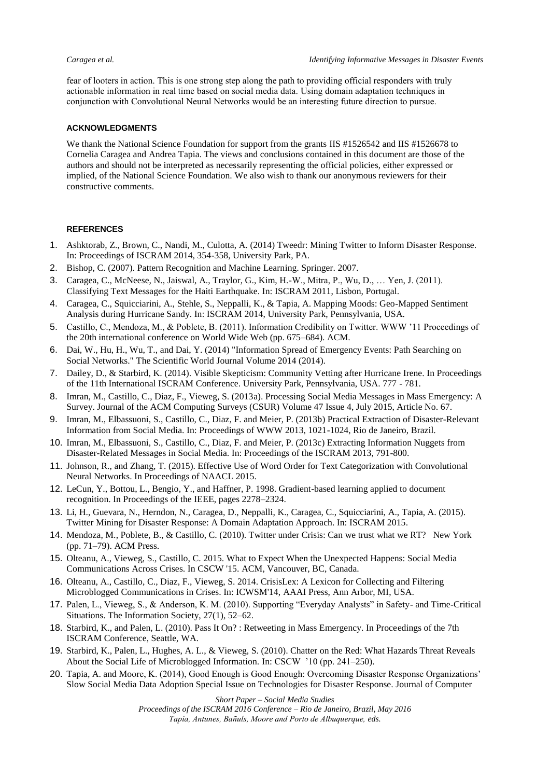fear of looters in action. This is one strong step along the path to providing official responders with truly actionable information in real time based on social media data. Using domain adaptation techniques in conjunction with Convolutional Neural Networks would be an interesting future direction to pursue.

#### **ACKNOWLEDGMENTS**

We thank the National Science Foundation for support from the grants IIS #1526542 and IIS #1526678 to Cornelia Caragea and Andrea Tapia. The views and conclusions contained in this document are those of the authors and should not be interpreted as necessarily representing the official policies, either expressed or implied, of the National Science Foundation. We also wish to thank our anonymous reviewers for their constructive comments.

#### **REFERENCES**

- 1. Ashktorab, Z., Brown, C., Nandi, M., Culotta, A. (2014) Tweedr: Mining Twitter to Inform Disaster Response. In: Proceedings of ISCRAM 2014, 354-358, University Park, PA.
- 2. Bishop, C. (2007). Pattern Recognition and Machine Learning. Springer. 2007.
- 3. Caragea, C., McNeese, N., Jaiswal, A., Traylor, G., Kim, H.-W., Mitra, P., Wu, D., … Yen, J. (2011). Classifying Text Messages for the Haiti Earthquake. In: ISCRAM 2011, Lisbon, Portugal.
- 4. Caragea, C., Squicciarini, A., Stehle, S., Neppalli, K., & Tapia, A. Mapping Moods: Geo-Mapped Sentiment Analysis during Hurricane Sandy. In: ISCRAM 2014, University Park, Pennsylvania, USA.
- 5. Castillo, C., Mendoza, M., & Poblete, B. (2011). Information Credibility on Twitter. WWW '11 Proceedings of the 20th international conference on World Wide Web (pp. 675–684). ACM.
- 6. Dai, W., Hu, H., Wu, T., and Dai, Y. (2014) "Information Spread of Emergency Events: Path Searching on Social Networks." The Scientific World Journal Volume 2014 (2014).
- 7. Dailey, D., & Starbird, K. (2014). Visible Skepticism: Community Vetting after Hurricane Irene. In Proceedings of the 11th International ISCRAM Conference. University Park, Pennsylvania, USA. 777 - 781.
- 8. Imran, M., Castillo, C., Diaz, F., Vieweg, S. (2013a). Processing Social Media Messages in Mass Emergency: A Survey. Journal of the ACM Computing Surveys (CSUR) Volume 47 Issue 4, July 2015, Article No. 67.
- 9. Imran, M., Elbassuoni, S., Castillo, C., Diaz, F. and Meier, P. (2013b) Practical Extraction of Disaster-Relevant Information from Social Media. In: Proceedings of WWW 2013, 1021-1024, Rio de Janeiro, Brazil.
- 10. Imran, M., Elbassuoni, S., Castillo, C., Diaz, F. and Meier, P. (2013c) Extracting Information Nuggets from Disaster-Related Messages in Social Media. In: Proceedings of the ISCRAM 2013, 791-800.
- 11. Johnson, R., and Zhang, T. (2015). Effective Use of Word Order for Text Categorization with Convolutional Neural Networks. In Proceedings of NAACL 2015.
- 12. LeCun, Y., Bottou, L., Bengio, Y., and Haffner, P. 1998. Gradient-based learning applied to document recognition. In Proceedings of the IEEE, pages 2278–2324.
- 13. Li, H., Guevara, N., Herndon, N., Caragea, D., Neppalli, K., Caragea, C., Squicciarini, A., Tapia, A. (2015). Twitter Mining for Disaster Response: A Domain Adaptation Approach. In: ISCRAM 2015.
- 14. Mendoza, M., Poblete, B., & Castillo, C. (2010). Twitter under Crisis: Can we trust what we RT? New York (pp. 71–79). ACM Press.
- 15. Olteanu, A., Vieweg, S., Castillo, C. 2015. What to Expect When the Unexpected Happens: Social Media Communications Across Crises. In CSCW '15. ACM, Vancouver, BC, Canada.
- 16. Olteanu, A., Castillo, C., Diaz, F., Vieweg, S. 2014. CrisisLex: A Lexicon for Collecting and Filtering Microblogged Communications in Crises. In: ICWSM'14, AAAI Press, Ann Arbor, MI, USA.
- 17. Palen, L., Vieweg, S., & Anderson, K. M. (2010). Supporting "Everyday Analysts" in Safety- and Time-Critical Situations. The Information Society, 27(1), 52–62.
- 18. Starbird, K., and Palen, L. (2010). Pass It On? : Retweeting in Mass Emergency. In Proceedings of the 7th ISCRAM Conference, Seattle, WA.
- 19. Starbird, K., Palen, L., Hughes, A. L., & Vieweg, S. (2010). Chatter on the Red: What Hazards Threat Reveals About the Social Life of Microblogged Information. In: CSCW '10 (pp. 241–250).
- 20. Tapia, A. and Moore, K. (2014), Good Enough is Good Enough: Overcoming Disaster Response Organizations' Slow Social Media Data Adoption Special Issue on Technologies for Disaster Response. Journal of Computer